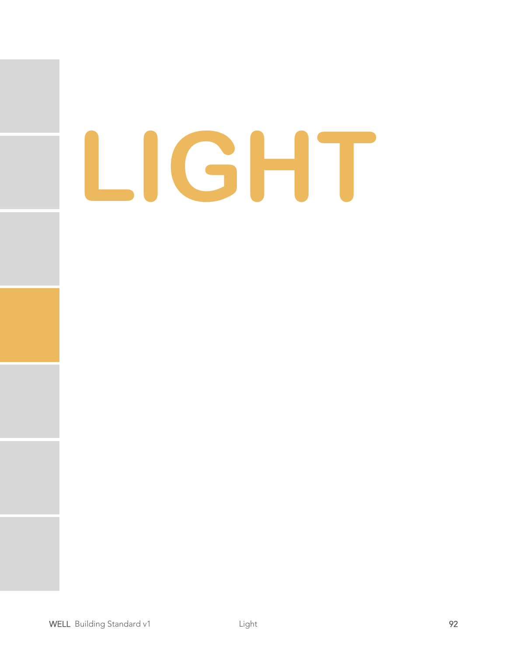# **LIGHT**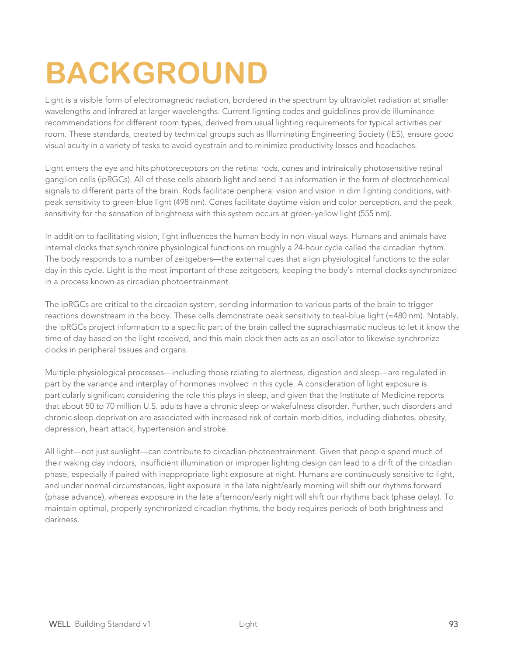# **BACKGROUND**

Light is a visible form of electromagnetic radiation, bordered in the spectrum by ultraviolet radiation at smaller wavelengths and infrared at larger wavelengths. Current lighting codes and guidelines provide illuminance recommendations for different room types, derived from usual lighting requirements for typical activities per room. These standards, created by technical groups such as Illuminating Engineering Society (IES), ensure good visual acuity in a variety of tasks to avoid eyestrain and to minimize productivity losses and headaches.

Light enters the eye and hits photoreceptors on the retina: rods, cones and intrinsically photosensitive retinal ganglion cells (ipRGCs). All of these cells absorb light and send it as information in the form of electrochemical signals to different parts of the brain. Rods facilitate peripheral vision and vision in dim lighting conditions, with peak sensitivity to green-blue light (498 nm). Cones facilitate daytime vision and color perception, and the peak sensitivity for the sensation of brightness with this system occurs at green-yellow light (555 nm).

In addition to facilitating vision, light influences the human body in non-visual ways. Humans and animals have internal clocks that synchronize physiological functions on roughly a 24-hour cycle called the circadian rhythm. The body responds to a number of zeitgebers—the external cues that align physiological functions to the solar day in this cycle. Light is the most important of these zeitgebers, keeping the body's internal clocks synchronized in a process known as circadian photoentrainment.

The ipRGCs are critical to the circadian system, sending information to various parts of the brain to trigger reactions downstream in the body. These cells demonstrate peak sensitivity to teal-blue light (≈480 nm). Notably, the ipRGCs project information to a specific part of the brain called the suprachiasmatic nucleus to let it know the time of day based on the light received, and this main clock then acts as an oscillator to likewise synchronize clocks in peripheral tissues and organs.

Multiple physiological processes—including those relating to alertness, digestion and sleep—are regulated in part by the variance and interplay of hormones involved in this cycle. A consideration of light exposure is particularly significant considering the role this plays in sleep, and given that the Institute of Medicine reports that about 50 to 70 million U.S. adults have a chronic sleep or wakefulness disorder. Further, such disorders and chronic sleep deprivation are associated with increased risk of certain morbidities, including diabetes, obesity, depression, heart attack, hypertension and stroke.

All light—not just sunlight—can contribute to circadian photoentrainment. Given that people spend much of their waking day indoors, insufficient illumination or improper lighting design can lead to a drift of the circadian phase, especially if paired with inappropriate light exposure at night. Humans are continuously sensitive to light, and under normal circumstances, light exposure in the late night/early morning will shift our rhythms forward (phase advance), whereas exposure in the late afternoon/early night will shift our rhythms back (phase delay). To maintain optimal, properly synchronized circadian rhythms, the body requires periods of both brightness and darkness.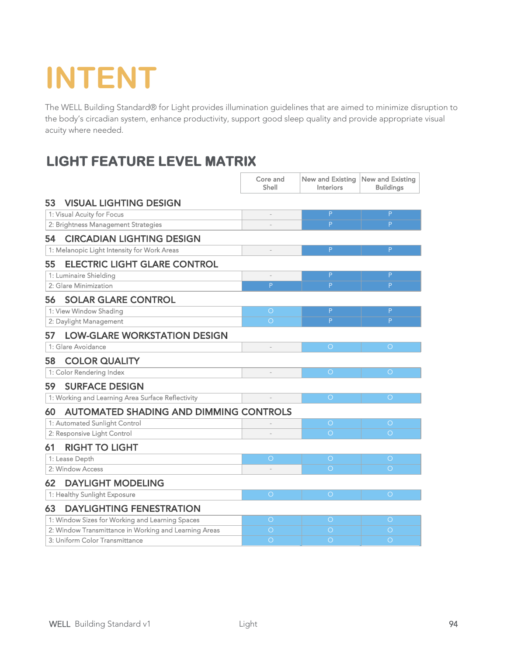# **INTENT**

The WELL Building Standard® for Light provides illumination guidelines that are aimed to minimize disruption to the body's circadian system, enhance productivity, support good sleep quality and provide appropriate visual acuity where needed.

### **LIGHT FEATURE LEVEL MATRIX**

|                                                       |                                                   | Core and<br>Shell | <b>New and Existing</b><br>Interiors | <b>New and Existing</b><br><b>Buildings</b> |
|-------------------------------------------------------|---------------------------------------------------|-------------------|--------------------------------------|---------------------------------------------|
| 53                                                    | <b>VISUAL LIGHTING DESIGN</b>                     |                   |                                      |                                             |
|                                                       | 1: Visual Acuity for Focus                        | L.                | $\mathsf P$                          | P                                           |
|                                                       | 2: Brightness Management Strategies               |                   | P                                    | P                                           |
| 54                                                    | <b>CIRCADIAN LIGHTING DESIGN</b>                  |                   |                                      |                                             |
|                                                       | 1: Melanopic Light Intensity for Work Areas       |                   | P                                    | P                                           |
| 55                                                    | <b>ELECTRIC LIGHT GLARE CONTROL</b>               |                   |                                      |                                             |
|                                                       | 1: Luminaire Shielding                            |                   | P                                    | P                                           |
|                                                       | 2: Glare Minimization                             | P                 | P                                    | P                                           |
| 56                                                    | <b>SOLAR GLARE CONTROL</b>                        |                   |                                      |                                             |
|                                                       | 1: View Window Shading                            | $\bigcirc$        | P                                    | P                                           |
|                                                       | 2: Daylight Management                            | $\bigcirc$        | P                                    | P                                           |
| 57                                                    | <b>LOW-GLARE WORKSTATION DESIGN</b>               |                   |                                      |                                             |
|                                                       | 1: Glare Avoidance                                |                   | $\bigcirc$                           | $\bigcirc$                                  |
| 58                                                    | <b>COLOR QUALITY</b>                              |                   |                                      |                                             |
|                                                       | 1: Color Rendering Index                          |                   | $\bigcirc$                           | $\bigcirc$                                  |
| 59                                                    | <b>SURFACE DESIGN</b>                             |                   |                                      |                                             |
|                                                       | 1: Working and Learning Area Surface Reflectivity |                   | $\bigcirc$                           | $\bigcirc$                                  |
| 60                                                    | <b>AUTOMATED SHADING AND DIMMING CONTROLS</b>     |                   |                                      |                                             |
|                                                       | 1: Automated Sunlight Control                     |                   | $\circ$                              | $\circ$                                     |
|                                                       | 2: Responsive Light Control                       |                   | $\circ$                              | $\bigcirc$                                  |
| 61                                                    | <b>RIGHT TO LIGHT</b>                             |                   |                                      |                                             |
|                                                       | 1: Lease Depth                                    | $\bigcirc$        | $\bigcirc$                           | $\bigcirc$                                  |
|                                                       | 2: Window Access                                  |                   | $\bigcirc$                           | $\bigcirc$                                  |
| 62                                                    | <b>DAYLIGHT MODELING</b>                          |                   |                                      |                                             |
|                                                       | 1: Healthy Sunlight Exposure                      | $\bigcirc$        | $\bigcirc$                           | $\bigcirc$                                  |
| 63                                                    | <b>DAYLIGHTING FENESTRATION</b>                   |                   |                                      |                                             |
|                                                       | 1: Window Sizes for Working and Learning Spaces   | $\bigcirc$        | $\bigcirc$                           | $\bigcirc$                                  |
| 2: Window Transmittance in Working and Learning Areas |                                                   | $\bigcirc$        | $\bigcirc$                           | $\bigcirc$                                  |
| 3: Uniform Color Transmittance                        |                                                   | $\bigcirc$        | $\bigcirc$                           | $\bigcirc$                                  |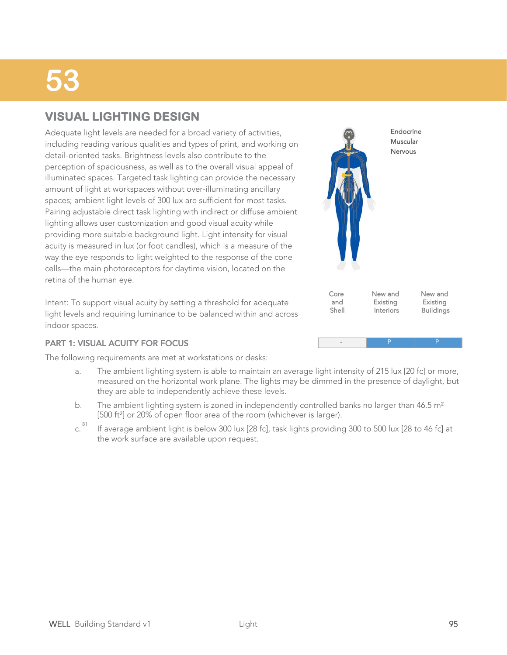### **VISUAL LIGHTING DESIGN**

Adequate light levels are needed for a broad variety of activities, including reading various qualities and types of print, and working on detail-oriented tasks. Brightness levels also contribute to the perception of spaciousness, as well as to the overall visual appeal of illuminated spaces. Targeted task lighting can provide the necessary amount of light at workspaces without over-illuminating ancillary spaces; ambient light levels of 300 lux are sufficient for most tasks. Pairing adjustable direct task lighting with indirect or diffuse ambient lighting allows user customization and good visual acuity while providing more suitable background light. Light intensity for visual acuity is measured in lux (or foot candles), which is a measure of the way the eye responds to light weighted to the response of the cone cells—the main photoreceptors for daytime vision, located on the retina of the human eye.

Intent: To support visual acuity by setting a threshold for adequate light levels and requiring luminance to be balanced within and across indoor spaces.

#### PART 1: VISUAL ACUITY FOR FOCUS

The following requirements are met at workstations or desks:

- The ambient lighting system is able to maintain an average light intensity of 215 lux [20 fc] or more, measured on the horizontal work plane. The lights may be dimmed in the presence of daylight, but they are able to independently achieve these levels. a.
- The ambient lighting system is zoned in independently controlled banks no larger than  $46.5 \text{ m}^2$ [500 ft<sup>2</sup>] or 20% of open floor area of the room (whichever is larger). b.
- If average ambient light is below 300 lux [28 fc], task lights providing 300 to 500 lux [28 to 46 fc] at the work surface are available upon request. c. 81

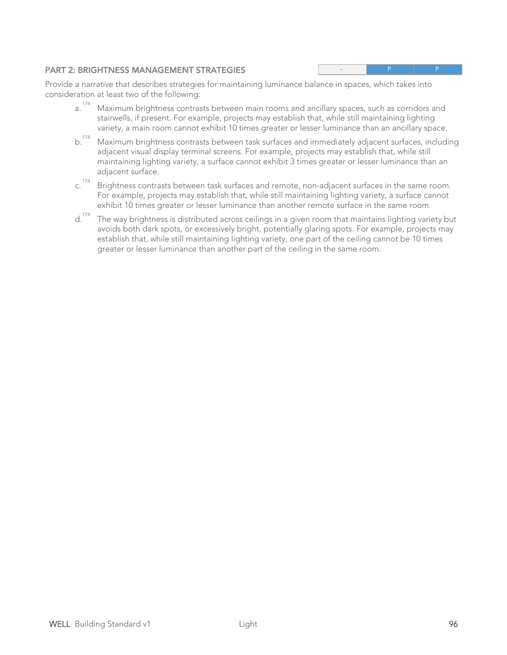#### PART 2: BRIGHTNESS MANAGEMENT STRATEGIES

- P P

Provide a narrative that describes strategies for maintaining luminance balance in spaces, which takes into consideration at least two of the following:

- Maximum brightness contrasts between main rooms and ancillary spaces, such as corridors and stairwells, if present. For example, projects may establish that, while still maintaining lighting variety, a main room cannot exhibit 10 times greater or lesser luminance than an ancillary space. a. 174
- Maximum brightness contrasts between task surfaces and immediately adjacent surfaces, including adjacent visual display terminal screens. For example, projects may establish that, while still maintaining lighting variety, a surface cannot exhibit 3 times greater or lesser luminance than an adjacent surface.  $b.$ <sup>174</sup>
- Brightness contrasts between task surfaces and remote, non-adjacent surfaces in the same room. For example, projects may establish that, while still maintaining lighting variety, a surface cannot exhibit 10 times greater or lesser luminance than another remote surface in the same room. c. 174
- The way brightness is distributed across ceilings in a given room that maintains lighting variety but avoids both dark spots, or excessively bright, potentially glaring spots. For example, projects may establish that, while still maintaining lighting variety, one part of the ceiling cannot be 10 times greater or lesser luminance than another part of the ceiling in the same room. d.<sup>174</sup>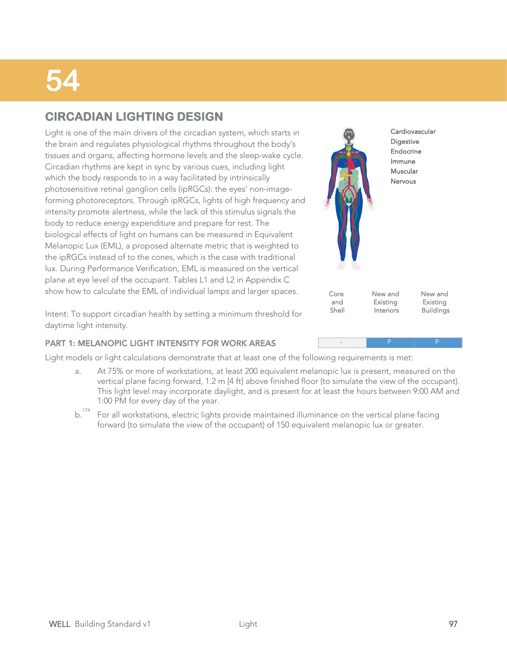### **CIRCADIAN LIGHTING DESIGN**

Light is one of the main drivers of the circadian system, which starts in the brain and regulates physiological rhythms throughout the body's tissues and organs, affecting hormone levels and the sleep-wake cycle. Circadian rhythms are kept in sync by various cues, including light which the body responds to in a way facilitated by intrinsically photosensitive retinal ganglion cells (ipRGCs): the eyes' non-imageforming photoreceptors. Through ipRGCs, lights of high frequency and intensity promote alertness, while the lack of this stimulus signals the body to reduce energy expenditure and prepare for rest. The biological effects of light on humans can be measured in Equivalent Melanopic Lux (EML), a proposed alternate metric that is weighted to the ipRGCs instead of to the cones, which is the case with traditional lux. During Performance Verification, EML is measured on the vertical plane at eye level of the occupant. Tables L1 and L2 in Appendix C show how to calculate the EML of individual lamps and larger spaces.



- P P

Intent: To support circadian health by setting a minimum threshold for daytime light intensity.

#### PART 1: MELANOPIC LIGHT INTENSITY FOR WORK AREAS

Light models or light calculations demonstrate that at least one of the following requirements is met:

- At 75% or more of workstations, at least 200 equivalent melanopic lux is present, measured on the vertical plane facing forward, 1.2 m [4 ft] above finished floor (to simulate the view of the occupant). This light level may incorporate daylight, and is present for at least the hours between 9:00 AM and 1:00 PM for every day of the year. a.
- For all workstations, electric lights provide maintained illuminance on the vertical plane facing forward (to simulate the view of the occupant) of 150 equivalent melanopic lux or greater. b.<sup>174</sup>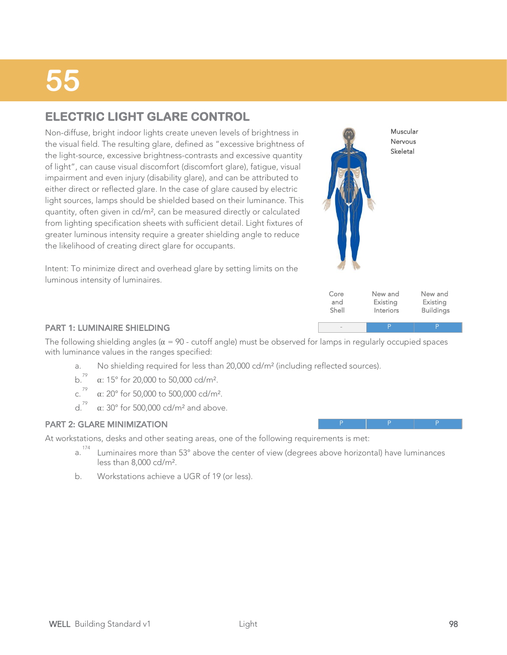### **ELECTRIC LIGHT GLARE CONTROL**

Non-diffuse, bright indoor lights create uneven levels of brightness in the visual field. The resulting glare, defined as "excessive brightness of the light-source, excessive brightness-contrasts and excessive quantity of light", can cause visual discomfort (discomfort glare), fatigue, visual impairment and even injury (disability glare), and can be attributed to either direct or reflected glare. In the case of glare caused by electric light sources, lamps should be shielded based on their luminance. This quantity, often given in cd/m², can be measured directly or calculated from lighting specification sheets with sufficient detail. Light fixtures of greater luminous intensity require a greater shielding angle to reduce the likelihood of creating direct glare for occupants.



Intent: To minimize direct and overhead glare by setting limits on the luminous intensity of luminaires.

| New and<br>New and<br>Core<br>Existing<br>and<br>Existing<br><b>Buildings</b><br>Shell<br>Interiors |
|-----------------------------------------------------------------------------------------------------|
|-----------------------------------------------------------------------------------------------------|

- P P

P P P

#### PART 1: LUMINAIRE SHIELDING

The following shielding angles ( $\alpha$  = 90 - cutoff angle) must be observed for lamps in regularly occupied spaces with luminance values in the ranges specified:

- a. No shielding required for less than 20,000 cd/m² (including reflected sources).
- b.<sup>79</sup>  $\alpha$ : 15° for 20,000 to 50,000 cd/m<sup>2</sup>.<br>c.<sup>79</sup>  $\alpha$ : 20° for 50,000 to 500 000 cd/m<sup>2</sup>
- $\alpha$ : 20° for 50,000 to 500,000 cd/m<sup>2</sup>.
- d.<sup>79</sup>  $\alpha$ : 30° for 500,000 cd/m<sup>2</sup> and above.

#### PART 2: GLARE MINIMIZATION

At workstations, desks and other seating areas, one of the following requirements is met:

- Luminaires more than 53° above the center of view (degrees above horizontal) have luminances less than 8,000 cd/m². a. 174
- b. Workstations achieve a UGR of 19 (or less).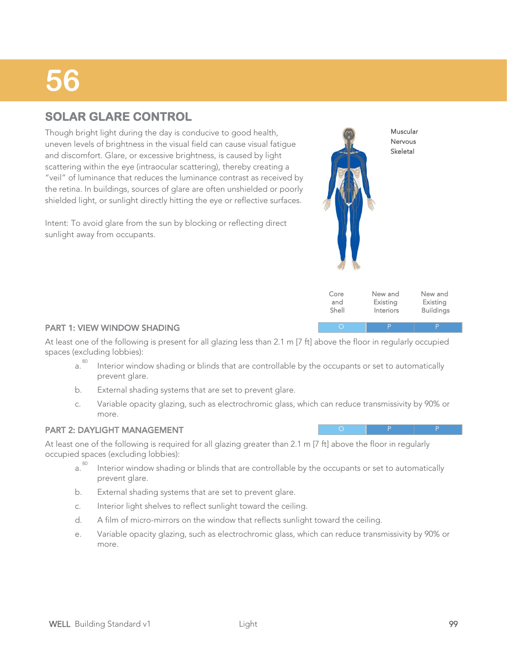### **SOLAR GLARE CONTROL**

Though bright light during the day is conducive to good health, uneven levels of brightness in the visual field can cause visual fatigue and discomfort. Glare, or excessive brightness, is caused by light scattering within the eye (intraocular scattering), thereby creating a "veil" of luminance that reduces the luminance contrast as received by the retina. In buildings, sources of glare are often unshielded or poorly shielded light, or sunlight directly hitting the eye or reflective surfaces.

Intent: To avoid glare from the sun by blocking or reflecting direct sunlight away from occupants.



| Core  | New and   | New and          |
|-------|-----------|------------------|
| and   | Existing  | Existing         |
| Shell | Interiors | <b>Buildings</b> |

O P P P

O P P P

#### PART 1: VIEW WINDOW SHADING

At least one of the following is present for all glazing less than 2.1 m [7 ft] above the floor in regularly occupied spaces (excluding lobbies):

- Interior window shading or blinds that are controllable by the occupants or set to automatically prevent glare. a. 80
- b. External shading systems that are set to prevent glare.
- Variable opacity glazing, such as electrochromic glass, which can reduce transmissivity by 90% or more. c.

#### PART 2: DAYLIGHT MANAGEMENT

At least one of the following is required for all glazing greater than 2.1 m [7 ft] above the floor in regularly occupied spaces (excluding lobbies):

- Interior window shading or blinds that are controllable by the occupants or set to automatically prevent glare. a. 80
- b. External shading systems that are set to prevent glare.
- c. Interior light shelves to reflect sunlight toward the ceiling.
- d. A film of micro-mirrors on the window that reflects sunlight toward the ceiling.
- Variable opacity glazing, such as electrochromic glass, which can reduce transmissivity by 90% or more. e.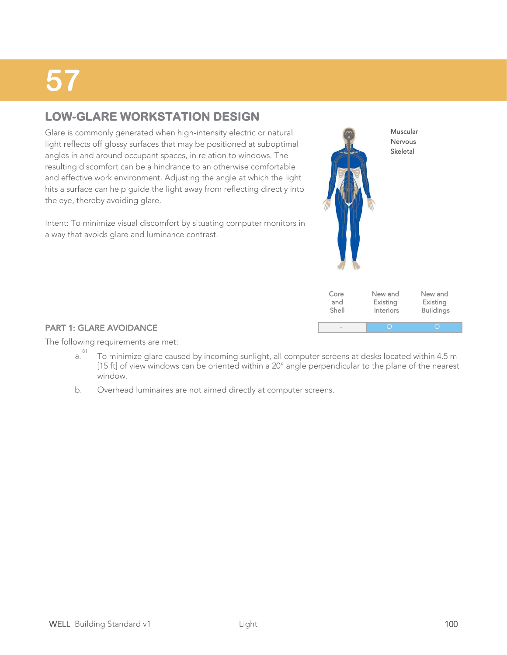### **LOW-GLARE WORKSTATION DESIGN**

Glare is commonly generated when high-intensity electric or natural light reflects off glossy surfaces that may be positioned at suboptimal angles in and around occupant spaces, in relation to windows. The resulting discomfort can be a hindrance to an otherwise comfortable and effective work environment. Adjusting the angle at which the light hits a surface can help guide the light away from reflecting directly into the eye, thereby avoiding glare.

Intent: To minimize visual discomfort by situating computer monitors in a way that avoids glare and luminance contrast.



| Core                     | New and   | New and          |
|--------------------------|-----------|------------------|
| and                      | Existing  | Existing         |
| Shell                    | Interiors | <b>Buildings</b> |
| $\overline{\phantom{a}}$ |           |                  |

#### PART 1: GLARE AVOIDANCE

The following requirements are met:

- To minimize glare caused by incoming sunlight, all computer screens at desks located within 4.5 m [15 ft] of view windows can be oriented within a 20° angle perpendicular to the plane of the nearest window. a. 81
- b. Overhead luminaires are not aimed directly at computer screens.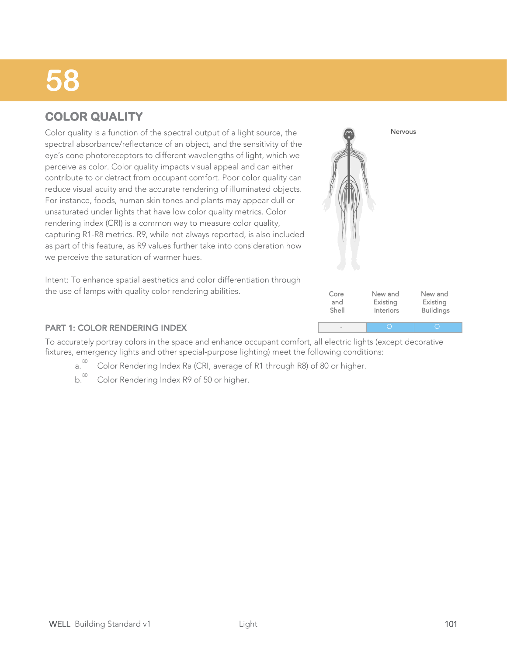### **COLOR QUALITY**

Color quality is a function of the spectral output of a light source, the spectral absorbance/reflectance of an object, and the sensitivity of the eye's cone photoreceptors to different wavelengths of light, which we perceive as color. Color quality impacts visual appeal and can either contribute to or detract from occupant comfort. Poor color quality can reduce visual acuity and the accurate rendering of illuminated objects. For instance, foods, human skin tones and plants may appear dull or unsaturated under lights that have low color quality metrics. Color rendering index (CRI) is a common way to measure color quality, capturing R1-R8 metrics. R9, while not always reported, is also included as part of this feature, as R9 values further take into consideration how we perceive the saturation of warmer hues.

Core and Shell New and Existing Interiors New and Existing **Buildings** - O O

Nervous

Intent: To enhance spatial aesthetics and color differentiation through the use of lamps with quality color rendering abilities.

#### PART 1: COLOR RENDERING INDEX

To accurately portray colors in the space and enhance occupant comfort, all electric lights (except decorative fixtures, emergency lights and other special-purpose lighting) meet the following conditions:<br>a.<sup>80</sup> Color Rendering Index Ra (CRI, average of R1 through R8) of 80 or higher.

- Color Rendering Index Ra (CRI, average of R1 through R8) of 80 or higher.
- b.<sup>80</sup> Color Rendering Index R9 of 50 or higher.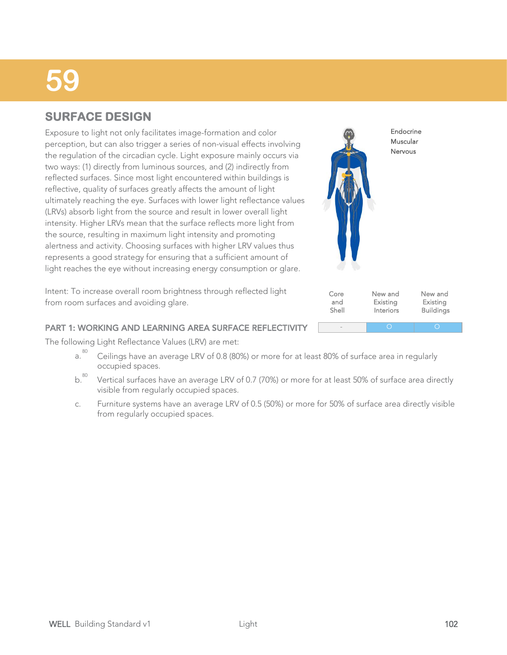### **SURFACE DESIGN**

Exposure to light not only facilitates image-formation and color perception, but can also trigger a series of non-visual effects involving the regulation of the circadian cycle. Light exposure mainly occurs via two ways: (1) directly from luminous sources, and (2) indirectly from reflected surfaces. Since most light encountered within buildings is reflective, quality of surfaces greatly affects the amount of light ultimately reaching the eye. Surfaces with lower light reflectance values (LRVs) absorb light from the source and result in lower overall light intensity. Higher LRVs mean that the surface reflects more light from the source, resulting in maximum light intensity and promoting alertness and activity. Choosing surfaces with higher LRV values thus represents a good strategy for ensuring that a sufficient amount of light reaches the eye without increasing energy consumption or glare.

Intent: To increase overall room brightness through reflected light from room surfaces and avoiding glare.

#### PART 1: WORKING AND LEARNING AREA SURFACE REFLECTIVITY

The following Light Reflectance Values (LRV) are met:

- Ceilings have an average LRV of 0.8 (80%) or more for at least 80% of surface area in regularly occupied spaces. a. 80
- Vertical surfaces have an average LRV of 0.7 (70%) or more for at least 50% of surface area directly visible from regularly occupied spaces.  $b.80$
- Furniture systems have an average LRV of 0.5 (50%) or more for 50% of surface area directly visible from regularly occupied spaces. c.



Interiors

- O O

**Buildings** 

Shell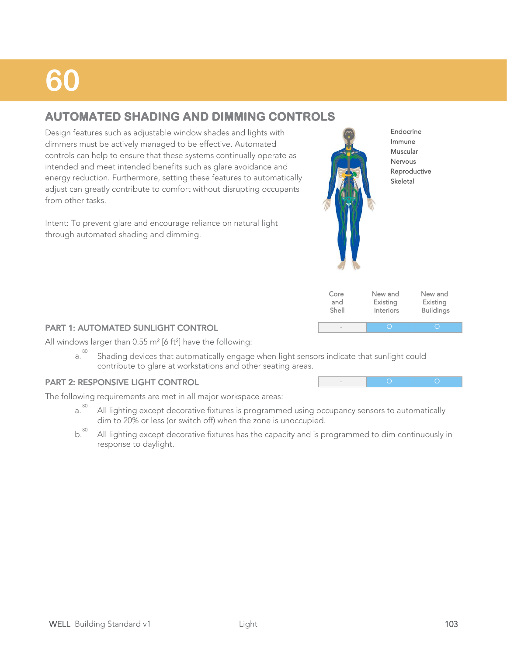### **AUTOMATED SHADING AND DIMMING CONTROLS**

Design features such as adjustable window shades and lights with dimmers must be actively managed to be effective. Automated controls can help to ensure that these systems continually operate as intended and meet intended benefits such as glare avoidance and energy reduction. Furthermore, setting these features to automatically adjust can greatly contribute to comfort without disrupting occupants from other tasks.

Intent: To prevent glare and encourage reliance on natural light through automated shading and dimming.



Endocrine Immune Muscular Nervous Reproductive Skeletal

| Core  | New and   | New and          |
|-------|-----------|------------------|
| and   | Existing  | Existing         |
| Shell | Interiors | <b>Buildings</b> |
|       |           |                  |

- O O

#### PART 1: AUTOMATED SUNLIGHT CONTROL

All windows larger than  $0.55$  m<sup>2</sup> [6 ft<sup>2</sup>] have the following:

Shading devices that automatically engage when light sensors indicate that sunlight could contribute to glare at workstations and other seating areas. a. 80

#### PART 2: RESPONSIVE LIGHT CONTROL

The following requirements are met in all major workspace areas:

- All lighting except decorative fixtures is programmed using occupancy sensors to automatically dim to 20% or less (or switch off) when the zone is unoccupied. a. 80
- All lighting except decorative fixtures has the capacity and is programmed to dim continuously in response to daylight.  $b.<sup>80</sup>$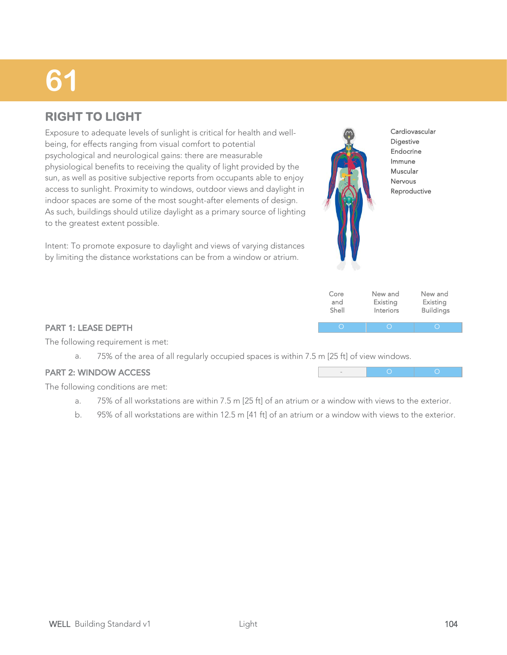### **RIGHT TO LIGHT**

Exposure to adequate levels of sunlight is critical for health and wellbeing, for effects ranging from visual comfort to potential psychological and neurological gains: there are measurable physiological benefits to receiving the quality of light provided by the sun, as well as positive subjective reports from occupants able to enjoy access to sunlight. Proximity to windows, outdoor views and daylight in indoor spaces are some of the most sought-after elements of design. As such, buildings should utilize daylight as a primary source of lighting to the greatest extent possible.

Intent: To promote exposure to daylight and views of varying distances by limiting the distance workstations can be from a window or atrium.



| Core  | New and   | New and          |
|-------|-----------|------------------|
| and   | Existing  | Existing         |
| Shell | Interiors | <b>Buildings</b> |
|       |           |                  |

- O O

#### PART 1: LEASE DEPTH

The following requirement is met:

a. 75% of the area of all regularly occupied spaces is within 7.5 m [25 ft] of view windows.

#### PART 2: WINDOW ACCESS

The following conditions are met:

- a. 75% of all workstations are within 7.5 m [25 ft] of an atrium or a window with views to the exterior.
- b. 95% of all workstations are within 12.5 m [41 ft] of an atrium or a window with views to the exterior.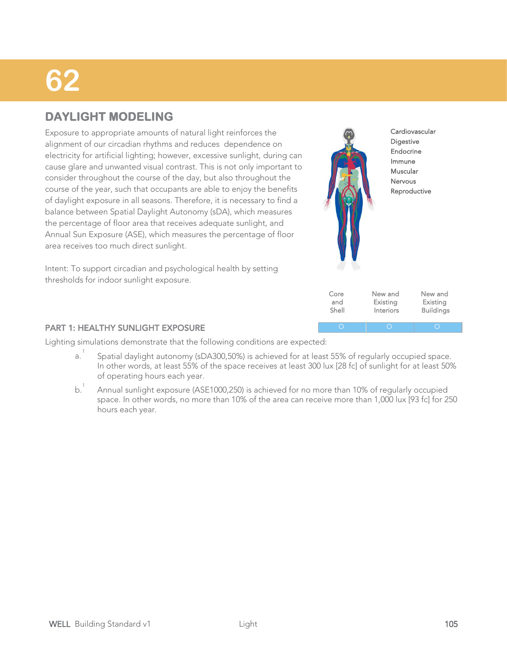### **DAYLIGHT MODELING**

Exposure to appropriate amounts of natural light reinforces the alignment of our circadian rhythms and reduces dependence on electricity for artificial lighting; however, excessive sunlight, during can cause glare and unwanted visual contrast. This is not only important to consider throughout the course of the day, but also throughout the course of the year, such that occupants are able to enjoy the benefits of daylight exposure in all seasons. Therefore, it is necessary to find a balance between Spatial Daylight Autonomy (sDA), which measures the percentage of floor area that receives adequate sunlight, and Annual Sun Exposure (ASE), which measures the percentage of floor area receives too much direct sunlight.



Interiors

**Buildings** 

Shell

Intent: To support circadian and psychological health by setting thresholds for indoor sunlight exposure.

#### PART 1: HEALTHY SUNLIGHT EXPOSURE

Lighting simulations demonstrate that the following conditions are expected:

- Spatial daylight autonomy (sDA300,50%) is achieved for at least 55% of regularly occupied space. In other words, at least 55% of the space receives at least 300 lux [28 fc] of sunlight for at least 50% of operating hours each year. a. 1
- Annual sunlight exposure (ASE1000,250) is achieved for no more than 10% of regularly occupied space. In other words, no more than 10% of the area can receive more than 1,000 lux [93 fc] for 250 hours each year.  $b^1$ .